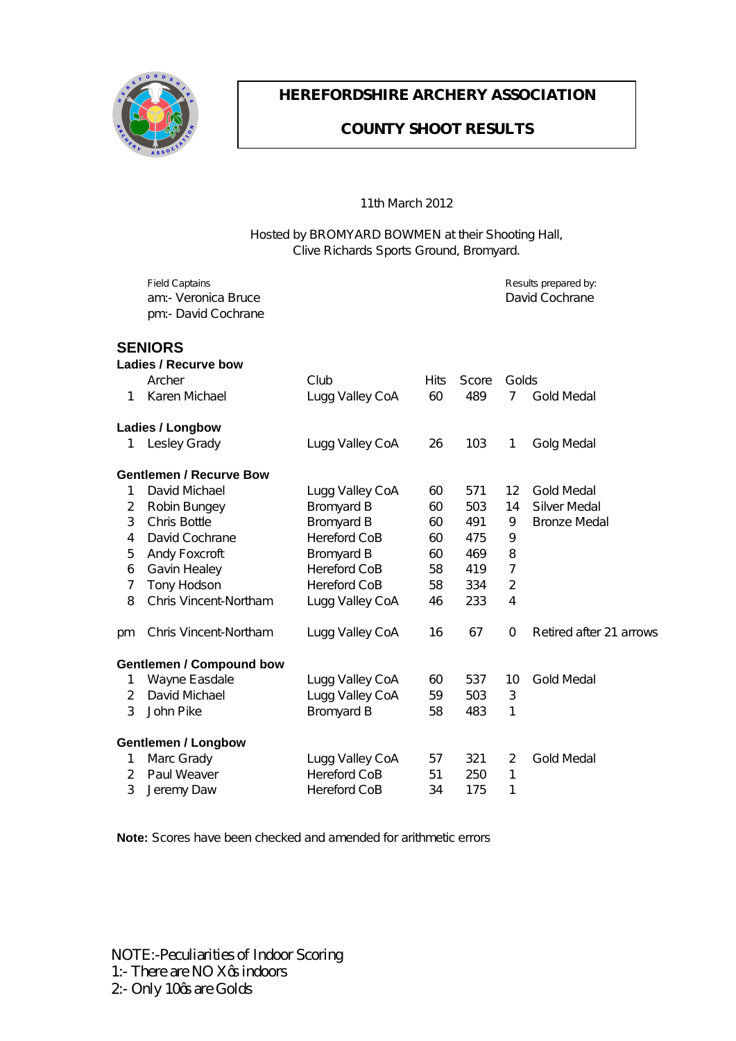

## **J GTGHQTFUI KIG CTEJ GT[ CUUQEKVIQP**

### **EQWPV[ UJ QQV TGUWNVU**

#### FFo@Tas&@GEFG

#### P[•c^å à^ ÓÜUTŸŒÜÖ ÓUY TÒÞærc@ ã Ù@ [cã\* Pæ||Ê Oar Ualceda UI [ lo OI [ ' } afol [ { ^adaE

|                             | Øã^∣å Ôæ}œaã}•<br>æ{KEX^¦[}a‱eÓ¦*&^<br>]{KËÖæçãåÔ[&@æ}^                                                                                                                                                                                                                                                                                                                                |                                                                                  |     |                   |              | Ü^• ˇ  o• ] ¦^] æ¦^å à^K<br>Öæçãå Ô[&@æ}^ |  |  |  |  |
|-----------------------------|----------------------------------------------------------------------------------------------------------------------------------------------------------------------------------------------------------------------------------------------------------------------------------------------------------------------------------------------------------------------------------------|----------------------------------------------------------------------------------|-----|-------------------|--------------|-------------------------------------------|--|--|--|--|
| G9B <sub>+CFG</sub>         |                                                                                                                                                                                                                                                                                                                                                                                        |                                                                                  |     |                   |              |                                           |  |  |  |  |
|                             | <b>@UX]Yg#FYWfjYVck</b>                                                                                                                                                                                                                                                                                                                                                                |                                                                                  |     |                   |              |                                           |  |  |  |  |
|                             | <b>CH&amp;@</b>                                                                                                                                                                                                                                                                                                                                                                        | Ô  à                                                                             | Pão | Ù&[ ¦^            | Õ[ ∣å∙       |                                           |  |  |  |  |
| F                           | Sæl^} T& @ e^                                                                                                                                                                                                                                                                                                                                                                          | Š * * Xa#^ Ô[ Œ                                                                  |     | $\hat{I} \in \Pi$ | $\mathbf{I}$ | Ô[  å T ^åæ}                              |  |  |  |  |
| <b>@UX]Yg#@b[Vck</b>        |                                                                                                                                                                                                                                                                                                                                                                                        |                                                                                  |     |                   |              |                                           |  |  |  |  |
|                             | F Š^∙ ^^Ô¦æå^                                                                                                                                                                                                                                                                                                                                                                          | Š** Xa#^^ Ô[Œ                                                                    | Ġ   | F€H               | F            | $\tilde{O}$ [ * T^åæ $\sharp$             |  |  |  |  |
| ; YbhYa Yb #FYW fj Y 6 ck   |                                                                                                                                                                                                                                                                                                                                                                                        |                                                                                  |     |                   |              |                                           |  |  |  |  |
| F                           | Öæçãã Tä&@e^                                                                                                                                                                                                                                                                                                                                                                           | Š** Xall^ Ô (Œ                                                                   | ΀   | ÍÏF               |              | FG Õ[  å T ^åæ∤                           |  |  |  |  |
| G                           | U[ à $\tilde{a}$ O $^*$ $^*$ ^                                                                                                                                                                                                                                                                                                                                                         | $\dot{O}$ i { $\hat{a}$ as $\dot{O}$                                             | ΀   | Í€H               | FI.          | Ùãc^¦ T^åæ}                               |  |  |  |  |
| H                           | Ô@ã Ó[ ct^                                                                                                                                                                                                                                                                                                                                                                             | Ól[{^ælå Ó                                                                       | ΀   | I JF              | J            | $\hat{O}$   } : ^ T ^ åæ}                 |  |  |  |  |
| $\mathsf{I}$                | Öæçãå Ô[&@æ}^                                                                                                                                                                                                                                                                                                                                                                          | $P^{\wedge}$ ¦^ $\{ \mid \hat{a} \cap C\}$                                       | ΀   | ΠÍ                | J            |                                           |  |  |  |  |
| Í                           | $\overline{C}$ an $\overline{C}$ $\overline{C}$ $\overline{C}$ $\overline{C}$ $\overline{C}$ $\overline{C}$ $\overline{C}$ $\overline{C}$ $\overline{C}$ $\overline{C}$ $\overline{C}$ $\overline{C}$ $\overline{C}$ $\overline{C}$ $\overline{C}$ $\overline{C}$ $\overline{C}$ $\overline{C}$ $\overline{C}$ $\overline{C}$ $\overline{C}$ $\overline{C}$ $\overline{C}$ $\overline$ | $\dot{O}$ ¦ { $\hat{a}$ as a $\dot{O}$                                           | ΀   | IÎJ               | Ì            |                                           |  |  |  |  |
| Î                           | Õæçã} P^æ∤^^                                                                                                                                                                                                                                                                                                                                                                           | $P^{\wedge}$   $\wedge$ $\uparrow$ lå Ô[Ó                                        | ÍÌ  | IFJ               | Ï.           |                                           |  |  |  |  |
| Ï                           | $V[\; \hat{ } \; P[\; \hat{a} \bullet [\; \hat{ } \;$                                                                                                                                                                                                                                                                                                                                  | $P^{\wedge}$ $\uparrow$ $\uparrow$ $\uparrow$ $\uparrow$ $\uparrow$ $\uparrow$   | ÍÌ  | HН                | G            |                                           |  |  |  |  |
| ì                           | $O@a X38$ $\oplus$ $[$ $O@a$                                                                                                                                                                                                                                                                                                                                                           | Š* * * Xa#^^ Ô[ Œ                                                                | ΙÎ  | <b>GHH</b>        | T            |                                           |  |  |  |  |
| $\mathcal{H}$               | $O@a X38$ $\oplus$ $I \cup Q$                                                                                                                                                                                                                                                                                                                                                          | Š** Xal <sup>l</sup> ^ Ô Œ                                                       | FÎ  | ÎÏ                | €            | Ü^cã^åæe^¦GF榦[ .•                         |  |  |  |  |
| ; YbhYa Yb #7 ca dci bX Vck |                                                                                                                                                                                                                                                                                                                                                                                        |                                                                                  |     |                   |              |                                           |  |  |  |  |
|                             | F Yæî}^Òæråæ∤^                                                                                                                                                                                                                                                                                                                                                                         | Š * * Xæ¦l^ Ô[Œ                                                                  | ΀   | ÍHÏ               |              | F€ Õ[  å T^åæ                             |  |  |  |  |
| G                           | Öæçãã Tã&©æ^                                                                                                                                                                                                                                                                                                                                                                           | Š** Xa#^^ Ô[Œ                                                                    | ÍJ  | Í€H               | H            |                                           |  |  |  |  |
| H.                          | R @ Úã^                                                                                                                                                                                                                                                                                                                                                                                | Ól[{^asåÓ                                                                        | ÍÌ  | IÌH               | F            |                                           |  |  |  |  |
| ; YbhYa Yb #@b[Vck          |                                                                                                                                                                                                                                                                                                                                                                                        |                                                                                  |     |                   |              |                                           |  |  |  |  |
|                             | F Tæl&Õ¦æå^                                                                                                                                                                                                                                                                                                                                                                            | Š** Xa#^^ Ô[Œ                                                                    | ÍÏ  | <b>HGF</b>        | G            | Õ[ ∣å T ^åæ)                              |  |  |  |  |
| G                           | Úæĭ Y^æç^¦                                                                                                                                                                                                                                                                                                                                                                             | P^¦^ <sub>4</sub> ¦å Ô[ Ó                                                        | ÍF  | ɗ€                | F            |                                           |  |  |  |  |
|                             | H $R\cdot\wedge\{\hat{o}$ æ                                                                                                                                                                                                                                                                                                                                                            | $P^{\wedge}$ $\uparrow$ $\downarrow$ $\uparrow$ $\uparrow$ $\uparrow$ $\uparrow$ | H   | FÏ Í              | F            |                                           |  |  |  |  |

BchY. Ù& ¦^• @ ay^ à^^} & @ & ^ å and a a { } å^ å { } as a @ ^ ca & ^ } | | •

NOTE:-PeculiaritiesofIndoorScoring  $3 \ll$  Vj gtg ctg PQ Z  $\alpha$ u kpf qqtu  $4 \nless$  Qpn{32 $\alpha$ u ctg I qnf u